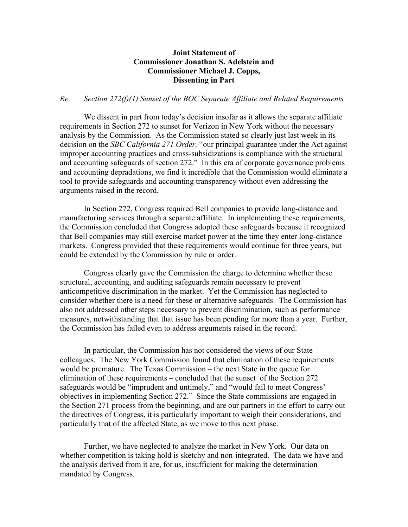## **Joint Statement of Commissioner Jonathan S. Adelstein and Commissioner Michael J. Copps, Dissenting in Part**

## *Re: Section 272(f)(1) Sunset of the BOC Separate Affiliate and Related Requirements*

We dissent in part from today's decision insofar as it allows the separate affiliate requirements in Section 272 to sunset for Verizon in New York without the necessary analysis by the Commission. As the Commission stated so clearly just last week in its decision on the *SBC California 271 Order,* "our principal guarantee under the Act against improper accounting practices and cross-subsidizations is compliance with the structural and accounting safeguards of section 272." In this era of corporate governance problems and accounting depradations, we find it incredible that the Commission would eliminate a tool to provide safeguards and accounting transparency without even addressing the arguments raised in the record.

In Section 272, Congress required Bell companies to provide long-distance and manufacturing services through a separate affiliate. In implementing these requirements, the Commission concluded that Congress adopted these safeguards because it recognized that Bell companies may still exercise market power at the time they enter long-distance markets. Congress provided that these requirements would continue for three years, but could be extended by the Commission by rule or order.

Congress clearly gave the Commission the charge to determine whether these structural, accounting, and auditing safeguards remain necessary to prevent anticompetitive discrimination in the market. Yet the Commission has neglected to consider whether there is a need for these or alternative safeguards. The Commission has also not addressed other steps necessary to prevent discrimination, such as performance measures, notwithstanding that that issue has been pending for more than a year. Further, the Commission has failed even to address arguments raised in the record.

In particular, the Commission has not considered the views of our State colleagues. The New York Commission found that elimination of these requirements would be premature. The Texas Commission – the next State in the queue for elimination of these requirements – concluded that the sunset of the Section 272 safeguards would be "imprudent and untimely," and "would fail to meet Congress' objectives in implementing Section 272." Since the State commissions are engaged in the Section 271 process from the beginning, and are our partners in the effort to carry out the directives of Congress, it is particularly important to weigh their considerations, and particularly that of the affected State, as we move to this next phase.

Further, we have neglected to analyze the market in New York. Our data on whether competition is taking hold is sketchy and non-integrated. The data we have and the analysis derived from it are, for us, insufficient for making the determination mandated by Congress.